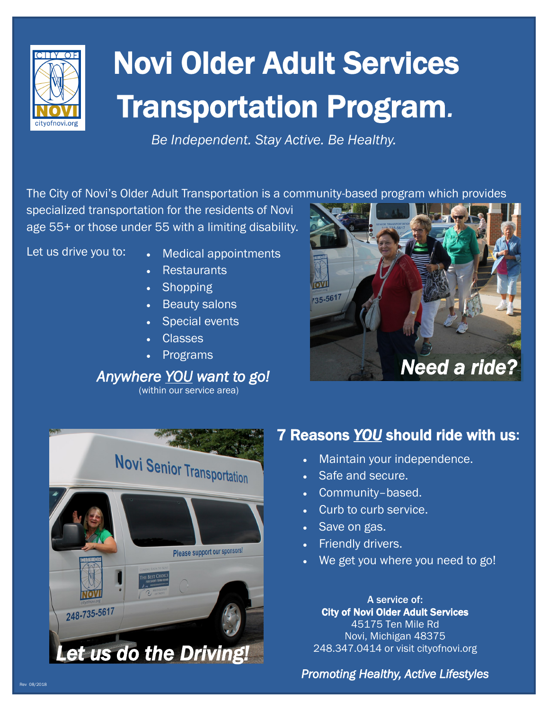

# Novi Older Adult Services Transportation Program*.*

*Be Independent. Stay Active. Be Healthy.*

The City of Novi's Older Adult Transportation is a community-based program which provides

specialized transportation for the residents of Novi age 55+ or those under 55 with a limiting disability.

- Let us drive you to: . Medical appointments
	- **Restaurants**
	- Shopping
	- Beauty salons
	- Special events
	- Classes
	- Programs

## *Anywhere YOU want to go!*

(within our service area)





# 7 Reasons *YOU* should ride with us:

- Maintain your independence.
- Safe and secure.
- Community–based.
- Curb to curb service.
- Save on gas.
- Friendly drivers.
- We get you where you need to go!

A service of: City of Novi Older Adult Services 45175 Ten Mile Rd Novi, Michigan 48375 248.347.0414 or visit cityofnovi.org

*Promoting Healthy, Active Lifestyles*